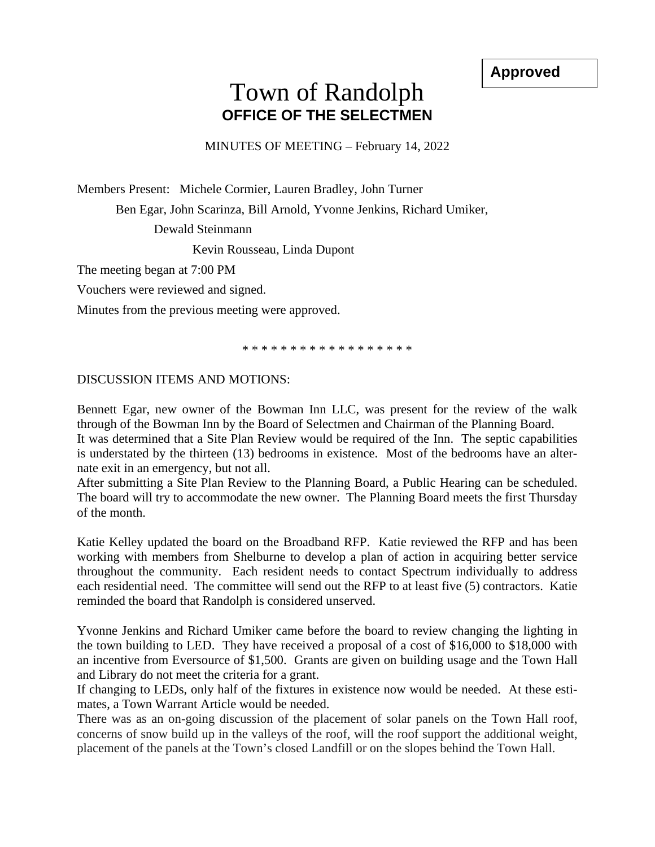**Approved**

## Town of Randolph **OFFICE OF THE SELECTMEN**

MINUTES OF MEETING – February 14, 2022

Members Present: Michele Cormier, Lauren Bradley, John Turner

Ben Egar, John Scarinza, Bill Arnold, Yvonne Jenkins, Richard Umiker,

Dewald Steinmann

Kevin Rousseau, Linda Dupont

The meeting began at 7:00 PM

Vouchers were reviewed and signed.

Minutes from the previous meeting were approved.

\* \* \* \* \* \* \* \* \* \* \* \* \* \* \* \* \* \*

## DISCUSSION ITEMS AND MOTIONS:

Bennett Egar, new owner of the Bowman Inn LLC, was present for the review of the walk through of the Bowman Inn by the Board of Selectmen and Chairman of the Planning Board.

It was determined that a Site Plan Review would be required of the Inn. The septic capabilities is understated by the thirteen (13) bedrooms in existence. Most of the bedrooms have an alternate exit in an emergency, but not all.

After submitting a Site Plan Review to the Planning Board, a Public Hearing can be scheduled. The board will try to accommodate the new owner. The Planning Board meets the first Thursday of the month.

Katie Kelley updated the board on the Broadband RFP. Katie reviewed the RFP and has been working with members from Shelburne to develop a plan of action in acquiring better service throughout the community. Each resident needs to contact Spectrum individually to address each residential need. The committee will send out the RFP to at least five (5) contractors. Katie reminded the board that Randolph is considered unserved.

Yvonne Jenkins and Richard Umiker came before the board to review changing the lighting in the town building to LED. They have received a proposal of a cost of \$16,000 to \$18,000 with an incentive from Eversource of \$1,500. Grants are given on building usage and the Town Hall and Library do not meet the criteria for a grant.

If changing to LEDs, only half of the fixtures in existence now would be needed. At these estimates, a Town Warrant Article would be needed.

There was as an on-going discussion of the placement of solar panels on the Town Hall roof, concerns of snow build up in the valleys of the roof, will the roof support the additional weight, placement of the panels at the Town's closed Landfill or on the slopes behind the Town Hall.